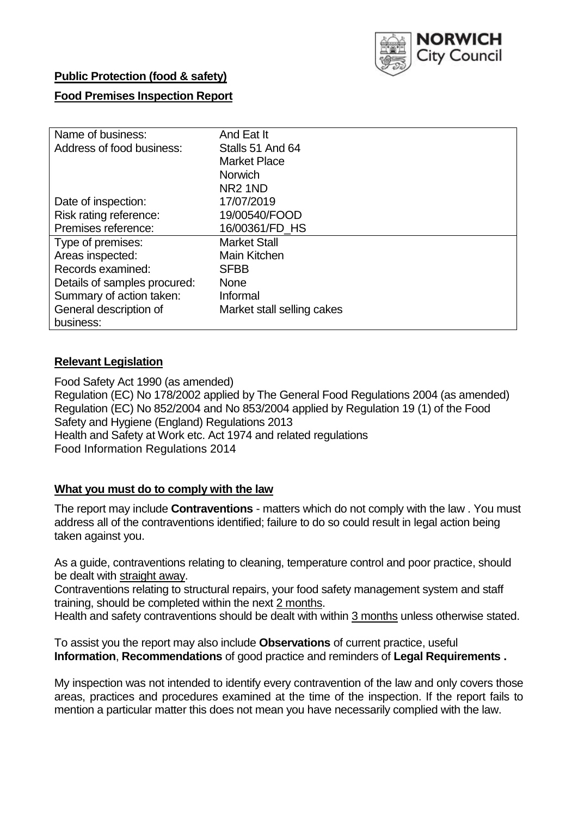

## **Public Protection (food & safety)**

### **Food Premises Inspection Report**

| Name of business:            | And Eat It                 |  |  |  |  |
|------------------------------|----------------------------|--|--|--|--|
| Address of food business:    | Stalls 51 And 64           |  |  |  |  |
|                              | <b>Market Place</b>        |  |  |  |  |
|                              | <b>Norwich</b>             |  |  |  |  |
|                              | NR <sub>2</sub> 1ND        |  |  |  |  |
| Date of inspection:          | 17/07/2019                 |  |  |  |  |
| Risk rating reference:       | 19/00540/FOOD              |  |  |  |  |
| Premises reference:          | 16/00361/FD HS             |  |  |  |  |
| Type of premises:            | <b>Market Stall</b>        |  |  |  |  |
| Areas inspected:             | <b>Main Kitchen</b>        |  |  |  |  |
| Records examined:            | <b>SFBB</b>                |  |  |  |  |
| Details of samples procured: | <b>None</b>                |  |  |  |  |
| Summary of action taken:     | Informal                   |  |  |  |  |
| General description of       | Market stall selling cakes |  |  |  |  |
| business:                    |                            |  |  |  |  |

## **Relevant Legislation**

Food Safety Act 1990 (as amended) Regulation (EC) No 178/2002 applied by The General Food Regulations 2004 (as amended) Regulation (EC) No 852/2004 and No 853/2004 applied by Regulation 19 (1) of the Food Safety and Hygiene (England) Regulations 2013 Health and Safety at Work etc. Act 1974 and related regulations Food Information Regulations 2014

### **What you must do to comply with the law**

The report may include **Contraventions** - matters which do not comply with the law . You must address all of the contraventions identified; failure to do so could result in legal action being taken against you.

As a guide, contraventions relating to cleaning, temperature control and poor practice, should be dealt with straight away.

Contraventions relating to structural repairs, your food safety management system and staff training, should be completed within the next 2 months.

Health and safety contraventions should be dealt with within 3 months unless otherwise stated.

To assist you the report may also include **Observations** of current practice, useful **Information**, **Recommendations** of good practice and reminders of **Legal Requirements .**

My inspection was not intended to identify every contravention of the law and only covers those areas, practices and procedures examined at the time of the inspection. If the report fails to mention a particular matter this does not mean you have necessarily complied with the law.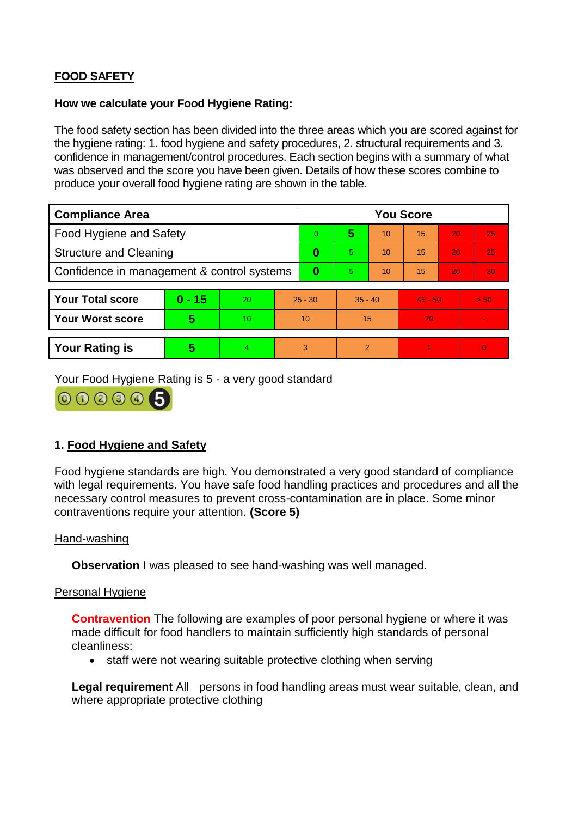# **FOOD SAFETY**

#### **How we calculate your Food Hygiene Rating:**

The food safety section has been divided into the three areas which you are scored against for the hygiene rating: 1. food hygiene and safety procedures, 2. structural requirements and 3. confidence in management/control procedures. Each section begins with a summary of what was observed and the score you have been given. Details of how these scores combine to produce your overall food hygiene rating are shown in the table.

| <b>Compliance Area</b>                     |          |    |           | <b>You Score</b> |           |    |           |    |                |  |  |
|--------------------------------------------|----------|----|-----------|------------------|-----------|----|-----------|----|----------------|--|--|
| Food Hygiene and Safety                    |          |    | $\Omega$  | 5                | 10        | 15 | 20        | 25 |                |  |  |
| <b>Structure and Cleaning</b>              |          |    | $\bf{0}$  | 5.               | 10        | 15 | 20        | 25 |                |  |  |
| Confidence in management & control systems |          |    | 0         | 5                | 10        | 15 | 20        | 30 |                |  |  |
|                                            |          |    |           |                  |           |    |           |    |                |  |  |
| <b>Your Total score</b>                    | $0 - 15$ | 20 | $25 - 30$ |                  | $35 - 40$ |    | $45 - 50$ |    | > 50           |  |  |
| <b>Your Worst score</b>                    | 5        | 10 | 10        |                  | 15        |    | 20        |    |                |  |  |
|                                            |          |    |           |                  |           |    |           |    |                |  |  |
| <b>Your Rating is</b>                      | 5        | 4. | 3         |                  | 2         |    |           |    | $\overline{0}$ |  |  |

Your Food Hygiene Rating is 5 - a very good standard



## **1. Food Hygiene and Safety**

Food hygiene standards are high. You demonstrated a very good standard of compliance with legal requirements. You have safe food handling practices and procedures and all the necessary control measures to prevent cross-contamination are in place. Some minor contraventions require your attention. **(Score 5)**

### Hand-washing

**Observation** I was pleased to see hand-washing was well managed.

### Personal Hygiene

**Contravention** The following are examples of poor personal hygiene or where it was made difficult for food handlers to maintain sufficiently high standards of personal cleanliness:

• staff were not wearing suitable protective clothing when serving

**Legal requirement** All persons in food handling areas must wear suitable, clean, and where appropriate protective clothing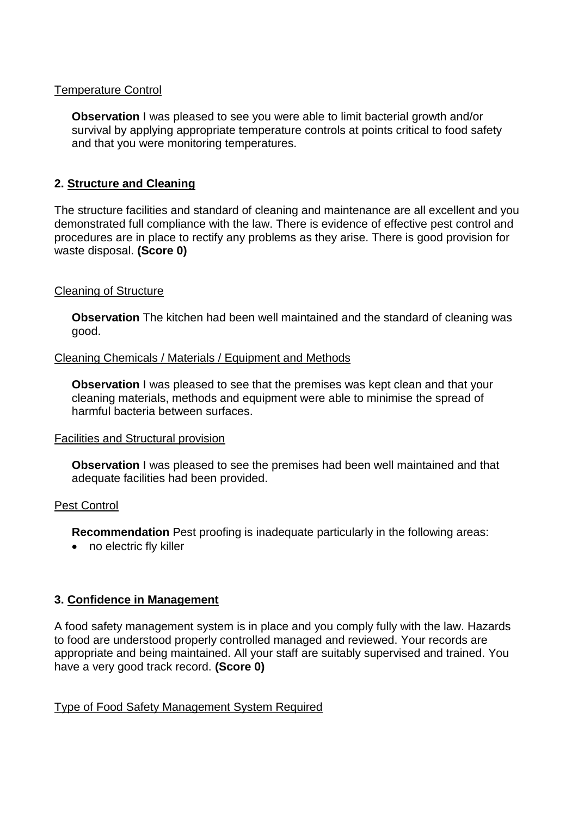#### Temperature Control

**Observation** I was pleased to see you were able to limit bacterial growth and/or survival by applying appropriate temperature controls at points critical to food safety and that you were monitoring temperatures.

### **2. Structure and Cleaning**

The structure facilities and standard of cleaning and maintenance are all excellent and you demonstrated full compliance with the law. There is evidence of effective pest control and procedures are in place to rectify any problems as they arise. There is good provision for waste disposal. **(Score 0)**

### Cleaning of Structure

**Observation** The kitchen had been well maintained and the standard of cleaning was good.

#### Cleaning Chemicals / Materials / Equipment and Methods

**Observation** I was pleased to see that the premises was kept clean and that your cleaning materials, methods and equipment were able to minimise the spread of harmful bacteria between surfaces.

#### Facilities and Structural provision

**Observation** I was pleased to see the premises had been well maintained and that adequate facilities had been provided.

### Pest Control

**Recommendation** Pest proofing is inadequate particularly in the following areas:

• no electric fly killer

### **3. Confidence in Management**

A food safety management system is in place and you comply fully with the law. Hazards to food are understood properly controlled managed and reviewed. Your records are appropriate and being maintained. All your staff are suitably supervised and trained. You have a very good track record. **(Score 0)**

### Type of Food Safety Management System Required